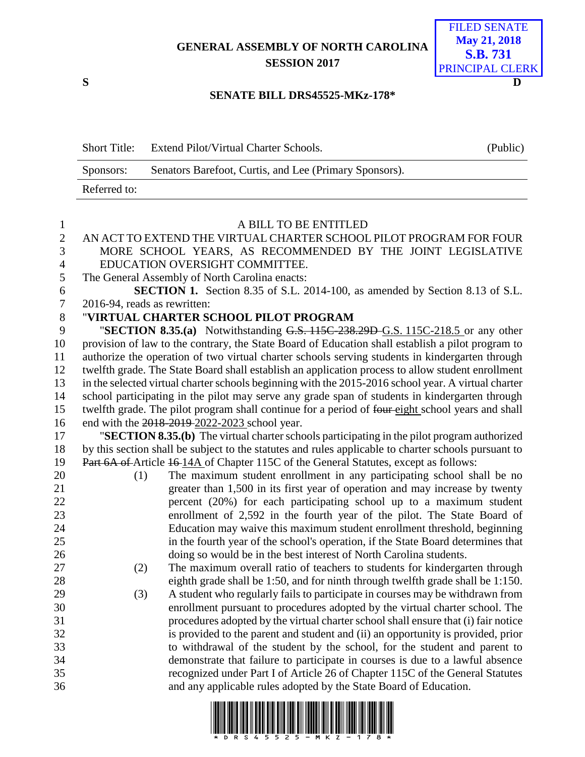## **GENERAL ASSEMBLY OF NORTH CAROLINA SESSION 2017**



## **SENATE BILL DRS45525-MKz-178\***

| Short Title: | Extend Pilot/Virtual Charter Schools.                  | (Public) |
|--------------|--------------------------------------------------------|----------|
| Sponsors:    | Senators Barefoot, Curtis, and Lee (Primary Sponsors). |          |
| Referred to: |                                                        |          |

| $\mathbf{1}$   | A BILL TO BE ENTITLED                                                                                                                                                |  |  |  |
|----------------|----------------------------------------------------------------------------------------------------------------------------------------------------------------------|--|--|--|
| $\overline{2}$ | AN ACT TO EXTEND THE VIRTUAL CHARTER SCHOOL PILOT PROGRAM FOR FOUR                                                                                                   |  |  |  |
| 3              | MORE SCHOOL YEARS, AS RECOMMENDED BY THE JOINT LEGISLATIVE                                                                                                           |  |  |  |
| $\overline{4}$ | EDUCATION OVERSIGHT COMMITTEE.                                                                                                                                       |  |  |  |
| 5              | The General Assembly of North Carolina enacts:                                                                                                                       |  |  |  |
| 6              | SECTION 1. Section 8.35 of S.L. 2014-100, as amended by Section 8.13 of S.L.                                                                                         |  |  |  |
| $\tau$         | 2016-94, reads as rewritten:                                                                                                                                         |  |  |  |
| $8\,$          | "VIRTUAL CHARTER SCHOOL PILOT PROGRAM                                                                                                                                |  |  |  |
| 9              | "SECTION 8.35.(a) Notwithstanding G.S. 115C-238.29D-G.S. 115C-218.5 or any other                                                                                     |  |  |  |
| 10             | provision of law to the contrary, the State Board of Education shall establish a pilot program to                                                                    |  |  |  |
| 11             | authorize the operation of two virtual charter schools serving students in kindergarten through                                                                      |  |  |  |
| 12             | twelfth grade. The State Board shall establish an application process to allow student enrollment                                                                    |  |  |  |
| 13             | in the selected virtual charter schools beginning with the 2015-2016 school year. A virtual charter                                                                  |  |  |  |
| 14             | school participating in the pilot may serve any grade span of students in kindergarten through                                                                       |  |  |  |
| 15             | twelfth grade. The pilot program shall continue for a period of four-eight school years and shall                                                                    |  |  |  |
| 16             | end with the 2018-2019-2022-2023 school year.                                                                                                                        |  |  |  |
| 17             | "SECTION 8.35.(b) The virtual charter schools participating in the pilot program authorized                                                                          |  |  |  |
| 18             | by this section shall be subject to the statutes and rules applicable to charter schools pursuant to                                                                 |  |  |  |
| 19             | Part 6A of Article 16 14A of Chapter 115C of the General Statutes, except as follows:                                                                                |  |  |  |
| 20             | The maximum student enrollment in any participating school shall be no<br>(1)                                                                                        |  |  |  |
| 21             | greater than 1,500 in its first year of operation and may increase by twenty                                                                                         |  |  |  |
| 22             | percent (20%) for each participating school up to a maximum student                                                                                                  |  |  |  |
| 23             | enrollment of 2,592 in the fourth year of the pilot. The State Board of                                                                                              |  |  |  |
| 24             | Education may waive this maximum student enrollment threshold, beginning                                                                                             |  |  |  |
| 25             | in the fourth year of the school's operation, if the State Board determines that                                                                                     |  |  |  |
| 26             | doing so would be in the best interest of North Carolina students.                                                                                                   |  |  |  |
| 27             | The maximum overall ratio of teachers to students for kindergarten through<br>(2)                                                                                    |  |  |  |
| 28<br>29       | eighth grade shall be 1:50, and for ninth through twelfth grade shall be 1:150.                                                                                      |  |  |  |
| 30             | A student who regularly fails to participate in courses may be withdrawn from<br>(3)<br>enrollment pursuant to procedures adopted by the virtual charter school. The |  |  |  |
| 31             | procedures adopted by the virtual charter school shall ensure that (i) fair notice                                                                                   |  |  |  |
| 32             | is provided to the parent and student and (ii) an opportunity is provided, prior                                                                                     |  |  |  |
| 33             | to withdrawal of the student by the school, for the student and parent to                                                                                            |  |  |  |
| 34             | demonstrate that failure to participate in courses is due to a lawful absence                                                                                        |  |  |  |
| 35             | recognized under Part I of Article 26 of Chapter 115C of the General Statutes                                                                                        |  |  |  |
| 36             | and any applicable rules adopted by the State Board of Education.                                                                                                    |  |  |  |
|                |                                                                                                                                                                      |  |  |  |

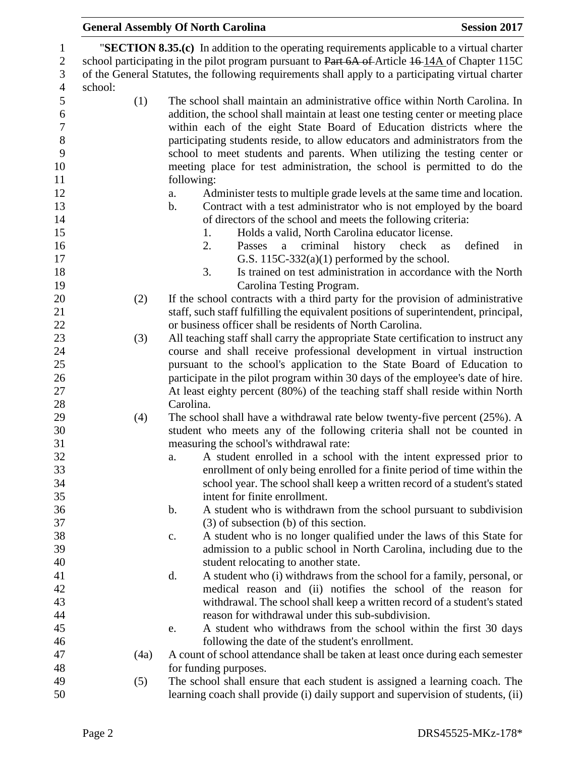|                                                                                                                                                                                                                                                                                                                 | <b>General Assembly Of North Carolina</b>                                                                                                                                                                                                  | <b>Session 2017</b> |  |
|-----------------------------------------------------------------------------------------------------------------------------------------------------------------------------------------------------------------------------------------------------------------------------------------------------------------|--------------------------------------------------------------------------------------------------------------------------------------------------------------------------------------------------------------------------------------------|---------------------|--|
| "SECTION 8.35.(c) In addition to the operating requirements applicable to a virtual charter<br>school participating in the pilot program pursuant to Part 6A of Article 16 14A of Chapter 115C<br>of the General Statutes, the following requirements shall apply to a participating virtual charter<br>school: |                                                                                                                                                                                                                                            |                     |  |
| (1)                                                                                                                                                                                                                                                                                                             | The school shall maintain an administrative office within North Carolina. In                                                                                                                                                               |                     |  |
|                                                                                                                                                                                                                                                                                                                 | addition, the school shall maintain at least one testing center or meeting place<br>within each of the eight State Board of Education districts where the<br>participating students reside, to allow educators and administrators from the |                     |  |
|                                                                                                                                                                                                                                                                                                                 | school to meet students and parents. When utilizing the testing center or<br>meeting place for test administration, the school is permitted to do the<br>following:                                                                        |                     |  |
|                                                                                                                                                                                                                                                                                                                 | Administer tests to multiple grade levels at the same time and location.<br>a.<br>Contract with a test administrator who is not employed by the board<br>$\mathbf b$ .                                                                     |                     |  |
|                                                                                                                                                                                                                                                                                                                 | of directors of the school and meets the following criteria:                                                                                                                                                                               |                     |  |
|                                                                                                                                                                                                                                                                                                                 | Holds a valid, North Carolina educator license.<br>1.                                                                                                                                                                                      |                     |  |
|                                                                                                                                                                                                                                                                                                                 | 2.<br>criminal<br>history check<br>Passes<br>as<br>a                                                                                                                                                                                       | defined<br>in       |  |
|                                                                                                                                                                                                                                                                                                                 | G.S. $115C-332(a)(1)$ performed by the school.                                                                                                                                                                                             |                     |  |
|                                                                                                                                                                                                                                                                                                                 | 3.<br>Is trained on test administration in accordance with the North                                                                                                                                                                       |                     |  |
|                                                                                                                                                                                                                                                                                                                 | Carolina Testing Program.                                                                                                                                                                                                                  |                     |  |
| (2)                                                                                                                                                                                                                                                                                                             | If the school contracts with a third party for the provision of administrative                                                                                                                                                             |                     |  |
|                                                                                                                                                                                                                                                                                                                 | staff, such staff fulfilling the equivalent positions of superintendent, principal,<br>or business officer shall be residents of North Carolina.                                                                                           |                     |  |
|                                                                                                                                                                                                                                                                                                                 |                                                                                                                                                                                                                                            |                     |  |
| (3)                                                                                                                                                                                                                                                                                                             | All teaching staff shall carry the appropriate State certification to instruct any<br>course and shall receive professional development in virtual instruction                                                                             |                     |  |
|                                                                                                                                                                                                                                                                                                                 | pursuant to the school's application to the State Board of Education to                                                                                                                                                                    |                     |  |
|                                                                                                                                                                                                                                                                                                                 | participate in the pilot program within 30 days of the employee's date of hire.                                                                                                                                                            |                     |  |
|                                                                                                                                                                                                                                                                                                                 | At least eighty percent (80%) of the teaching staff shall reside within North                                                                                                                                                              |                     |  |
|                                                                                                                                                                                                                                                                                                                 | Carolina.                                                                                                                                                                                                                                  |                     |  |
| (4)                                                                                                                                                                                                                                                                                                             | The school shall have a withdrawal rate below twenty-five percent (25%). A                                                                                                                                                                 |                     |  |
|                                                                                                                                                                                                                                                                                                                 | student who meets any of the following criteria shall not be counted in                                                                                                                                                                    |                     |  |
|                                                                                                                                                                                                                                                                                                                 | measuring the school's withdrawal rate:                                                                                                                                                                                                    |                     |  |
|                                                                                                                                                                                                                                                                                                                 | A student enrolled in a school with the intent expressed prior to<br>a.                                                                                                                                                                    |                     |  |
|                                                                                                                                                                                                                                                                                                                 | enrollment of only being enrolled for a finite period of time within the                                                                                                                                                                   |                     |  |
|                                                                                                                                                                                                                                                                                                                 | school year. The school shall keep a written record of a student's stated                                                                                                                                                                  |                     |  |
|                                                                                                                                                                                                                                                                                                                 | intent for finite enrollment.                                                                                                                                                                                                              |                     |  |
|                                                                                                                                                                                                                                                                                                                 | A student who is withdrawn from the school pursuant to subdivision<br>b.                                                                                                                                                                   |                     |  |
|                                                                                                                                                                                                                                                                                                                 | $(3)$ of subsection $(b)$ of this section.                                                                                                                                                                                                 |                     |  |
|                                                                                                                                                                                                                                                                                                                 | A student who is no longer qualified under the laws of this State for<br>c.                                                                                                                                                                |                     |  |
|                                                                                                                                                                                                                                                                                                                 | admission to a public school in North Carolina, including due to the                                                                                                                                                                       |                     |  |
|                                                                                                                                                                                                                                                                                                                 | student relocating to another state.                                                                                                                                                                                                       |                     |  |
|                                                                                                                                                                                                                                                                                                                 | A student who (i) withdraws from the school for a family, personal, or<br>d.                                                                                                                                                               |                     |  |
|                                                                                                                                                                                                                                                                                                                 | medical reason and (ii) notifies the school of the reason for                                                                                                                                                                              |                     |  |
|                                                                                                                                                                                                                                                                                                                 | withdrawal. The school shall keep a written record of a student's stated                                                                                                                                                                   |                     |  |
|                                                                                                                                                                                                                                                                                                                 | reason for withdrawal under this sub-subdivision.                                                                                                                                                                                          |                     |  |
|                                                                                                                                                                                                                                                                                                                 | A student who withdraws from the school within the first 30 days<br>e.                                                                                                                                                                     |                     |  |
|                                                                                                                                                                                                                                                                                                                 | following the date of the student's enrollment.                                                                                                                                                                                            |                     |  |
| (4a)                                                                                                                                                                                                                                                                                                            | A count of school attendance shall be taken at least once during each semester                                                                                                                                                             |                     |  |
|                                                                                                                                                                                                                                                                                                                 | for funding purposes.                                                                                                                                                                                                                      |                     |  |
| (5)                                                                                                                                                                                                                                                                                                             | The school shall ensure that each student is assigned a learning coach. The                                                                                                                                                                |                     |  |
|                                                                                                                                                                                                                                                                                                                 | learning coach shall provide (i) daily support and supervision of students, (ii)                                                                                                                                                           |                     |  |